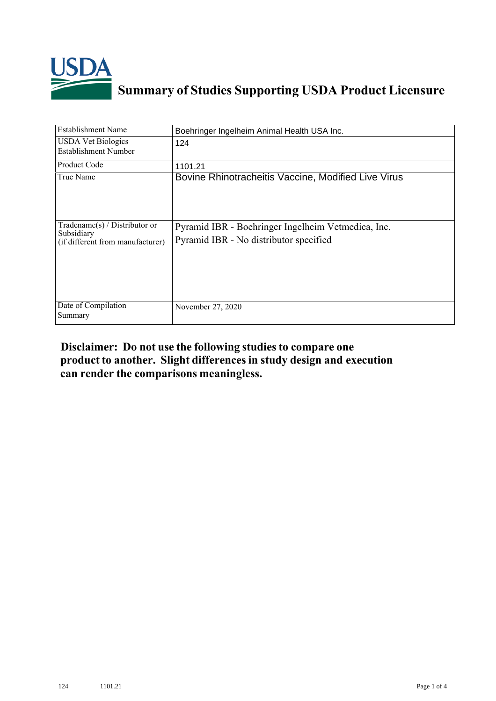

## **Summary of Studies Supporting USDA Product Licensure**

| <b>Establishment Name</b>                                                          | Boehringer Ingelheim Animal Health USA Inc.                                                  |
|------------------------------------------------------------------------------------|----------------------------------------------------------------------------------------------|
| <b>USDA Vet Biologics</b><br>Establishment Number                                  | 124                                                                                          |
| Product Code                                                                       | 1101.21                                                                                      |
| True Name                                                                          | Bovine Rhinotracheitis Vaccine, Modified Live Virus                                          |
| Tradename $(s)$ / Distributor or<br>Subsidiary<br>(if different from manufacturer) | Pyramid IBR - Boehringer Ingelheim Vetmedica, Inc.<br>Pyramid IBR - No distributor specified |
| Date of Compilation<br>Summary                                                     | November 27, 2020                                                                            |

## **Disclaimer: Do not use the following studiesto compare one product to another. Slight differencesin study design and execution can render the comparisons meaningless.**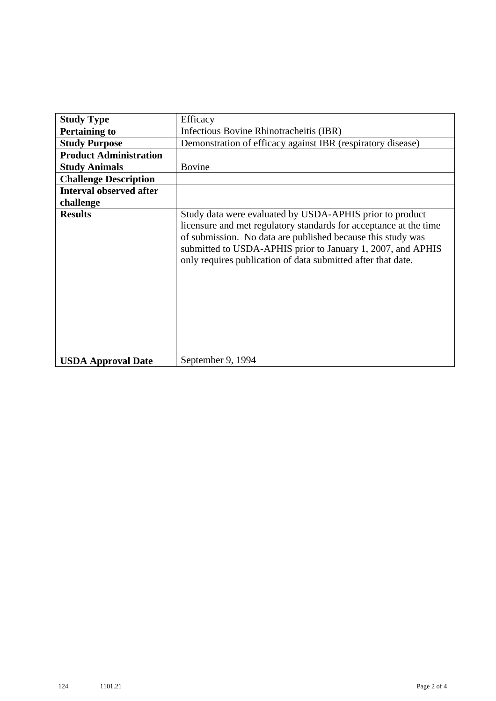| <b>Study Type</b>              | Efficacy                                                                                                                                                                                                                                                                                                                    |
|--------------------------------|-----------------------------------------------------------------------------------------------------------------------------------------------------------------------------------------------------------------------------------------------------------------------------------------------------------------------------|
| <b>Pertaining to</b>           | Infectious Bovine Rhinotracheitis (IBR)                                                                                                                                                                                                                                                                                     |
| <b>Study Purpose</b>           | Demonstration of efficacy against IBR (respiratory disease)                                                                                                                                                                                                                                                                 |
| <b>Product Administration</b>  |                                                                                                                                                                                                                                                                                                                             |
| <b>Study Animals</b>           | <b>Bovine</b>                                                                                                                                                                                                                                                                                                               |
| <b>Challenge Description</b>   |                                                                                                                                                                                                                                                                                                                             |
| <b>Interval observed after</b> |                                                                                                                                                                                                                                                                                                                             |
| challenge                      |                                                                                                                                                                                                                                                                                                                             |
| <b>Results</b>                 | Study data were evaluated by USDA-APHIS prior to product<br>licensure and met regulatory standards for acceptance at the time<br>of submission. No data are published because this study was<br>submitted to USDA-APHIS prior to January 1, 2007, and APHIS<br>only requires publication of data submitted after that date. |
| <b>USDA Approval Date</b>      | September 9, 1994                                                                                                                                                                                                                                                                                                           |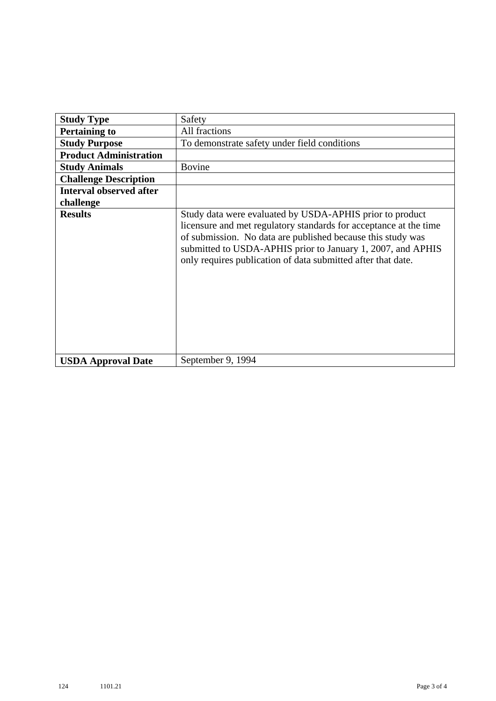| <b>Study Type</b>              | Safety                                                                                                                                                                                                                                                                                                                      |
|--------------------------------|-----------------------------------------------------------------------------------------------------------------------------------------------------------------------------------------------------------------------------------------------------------------------------------------------------------------------------|
| <b>Pertaining to</b>           | All fractions                                                                                                                                                                                                                                                                                                               |
| <b>Study Purpose</b>           | To demonstrate safety under field conditions                                                                                                                                                                                                                                                                                |
| <b>Product Administration</b>  |                                                                                                                                                                                                                                                                                                                             |
| <b>Study Animals</b>           | <b>Bovine</b>                                                                                                                                                                                                                                                                                                               |
| <b>Challenge Description</b>   |                                                                                                                                                                                                                                                                                                                             |
| <b>Interval observed after</b> |                                                                                                                                                                                                                                                                                                                             |
| challenge                      |                                                                                                                                                                                                                                                                                                                             |
| <b>Results</b>                 | Study data were evaluated by USDA-APHIS prior to product<br>licensure and met regulatory standards for acceptance at the time<br>of submission. No data are published because this study was<br>submitted to USDA-APHIS prior to January 1, 2007, and APHIS<br>only requires publication of data submitted after that date. |
| <b>USDA Approval Date</b>      | September 9, 1994                                                                                                                                                                                                                                                                                                           |